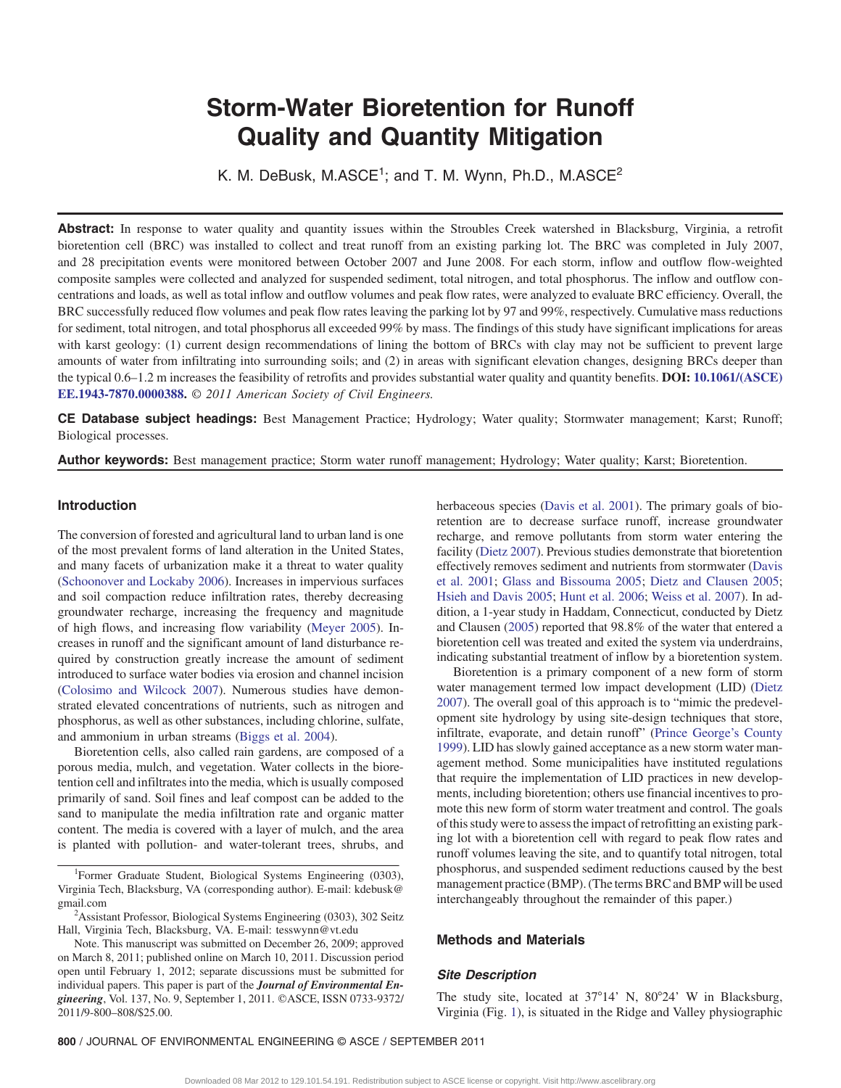# Storm-Water Bioretention for Runoff Quality and Quantity Mitigation

K. M. DeBusk, M.ASCE<sup>1</sup>; and T. M. Wynn, Ph.D., M.ASCE<sup>2</sup>

Abstract: In response to water quality and quantity issues within the Stroubles Creek watershed in Blacksburg, Virginia, a retrofit bioretention cell (BRC) was installed to collect and treat runoff from an existing parking lot. The BRC was completed in July 2007, and 28 precipitation events were monitored between October 2007 and June 2008. For each storm, inflow and outflow flow-weighted composite samples were collected and analyzed for suspended sediment, total nitrogen, and total phosphorus. The inflow and outflow concentrations and loads, as well as total inflow and outflow volumes and peak flow rates, were analyzed to evaluate BRC efficiency. Overall, the BRC successfully reduced flow volumes and peak flow rates leaving the parking lot by 97 and 99%, respectively. Cumulative mass reductions for sediment, total nitrogen, and total phosphorus all exceeded 99% by mass. The findings of this study have significant implications for areas with karst geology: (1) current design recommendations of lining the bottom of BRCs with clay may not be sufficient to prevent large amounts of water from infiltrating into surrounding soils; and (2) in areas with significant elevation changes, designing BRCs deeper than the typical 0.6–1.2 m increases the feasibility of retrofits and provides substantial water quality and quantity benefits. DOI: [10.1061/\(ASCE\)](http://dx.doi.org/10.1061/(ASCE)EE.1943-7870.0000388) [EE.1943-7870.0000388.](http://dx.doi.org/10.1061/(ASCE)EE.1943-7870.0000388) © 2011 American Society of Civil Engineers.

CE Database subject headings: Best Management Practice; Hydrology; Water quality; Stormwater management; Karst; Runoff; Biological processes.

Author keywords: Best management practice; Storm water runoff management; Hydrology; Water quality; Karst; Bioretention.

# Introduction

The conversion of forested and agricultural land to urban land is one of the most prevalent forms of land alteration in the United States, and many facets of urbanization make it a threat to water quality [\(Schoonover and Lockaby 2006](#page-8-0)). Increases in impervious surfaces and soil compaction reduce infiltration rates, thereby decreasing groundwater recharge, increasing the frequency and magnitude of high flows, and increasing flow variability ([Meyer 2005\)](#page-8-1). Increases in runoff and the significant amount of land disturbance required by construction greatly increase the amount of sediment introduced to surface water bodies via erosion and channel incision [\(Colosimo and Wilcock 2007](#page-8-2)). Numerous studies have demonstrated elevated concentrations of nutrients, such as nitrogen and phosphorus, as well as other substances, including chlorine, sulfate, and ammonium in urban streams ([Biggs et al. 2004\)](#page-8-3).

Bioretention cells, also called rain gardens, are composed of a porous media, mulch, and vegetation. Water collects in the bioretention cell and infiltrates into the media, which is usually composed primarily of sand. Soil fines and leaf compost can be added to the sand to manipulate the media infiltration rate and organic matter content. The media is covered with a layer of mulch, and the area is planted with pollution- and water-tolerant trees, shrubs, and

herbaceous species ([Davis et al. 2001](#page-8-4)). The primary goals of bioretention are to decrease surface runoff, increase groundwater recharge, and remove pollutants from storm water entering the facility [\(Dietz 2007\)](#page-8-5). Previous studies demonstrate that bioretention effectively removes sediment and nutrients from stormwater [\(Davis](#page-8-4) [et al. 2001;](#page-8-4) [Glass and Bissouma 2005](#page-8-6); [Dietz and Clausen 2005](#page-8-7); [Hsieh and Davis 2005](#page-8-8); [Hunt et al. 2006](#page-8-9); [Weiss et al. 2007\)](#page-8-10). In addition, a 1-year study in Haddam, Connecticut, conducted by Dietz and Clausen [\(2005](#page-8-7)) reported that 98.8% of the water that entered a bioretention cell was treated and exited the system via underdrains, indicating substantial treatment of inflow by a bioretention system.

Bioretention is a primary component of a new form of storm water management termed low impact development (LID) ([Dietz](#page-8-5) [2007](#page-8-5)). The overall goal of this approach is to "mimic the predevelopment site hydrology by using site-design techniques that store, infiltrate, evaporate, and detain runoff" ([Prince George](#page-8-11)'s County [1999](#page-8-11)). LID has slowly gained acceptance as a new storm water management method. Some municipalities have instituted regulations that require the implementation of LID practices in new developments, including bioretention; others use financial incentives to promote this new form of storm water treatment and control. The goals of this study were to assess the impact of retrofitting an existing parking lot with a bioretention cell with regard to peak flow rates and runoff volumes leaving the site, and to quantify total nitrogen, total phosphorus, and suspended sediment reductions caused by the best management practice (BMP). (The terms BRC and BMP will be used interchangeably throughout the remainder of this paper.)

# Methods and Materials

#### Site Description

The study site, located at 37°14' N, 80°24' W in Blacksburg, Virginia (Fig. [1\)](#page-1-0), is situated in the Ridge and Valley physiographic

<sup>&</sup>lt;sup>1</sup>Former Graduate Student, Biological Systems Engineering (0303), Virginia Tech, Blacksburg, VA (corresponding author). E-mail: kdebusk@ gmail.com <sup>2</sup>

<sup>&</sup>lt;sup>2</sup> Assistant Professor, Biological Systems Engineering (0303), 302 Seitz Hall, Virginia Tech, Blacksburg, VA. E-mail: tesswynn@vt.edu

Note. This manuscript was submitted on December 26, 2009; approved on March 8, 2011; published online on March 10, 2011. Discussion period open until February 1, 2012; separate discussions must be submitted for individual papers. This paper is part of the **Journal of Environmental En**gineering, Vol. 137, No. 9, September 1, 2011. ©ASCE, ISSN 0733-9372/ 2011/9-800–808/\$25.00.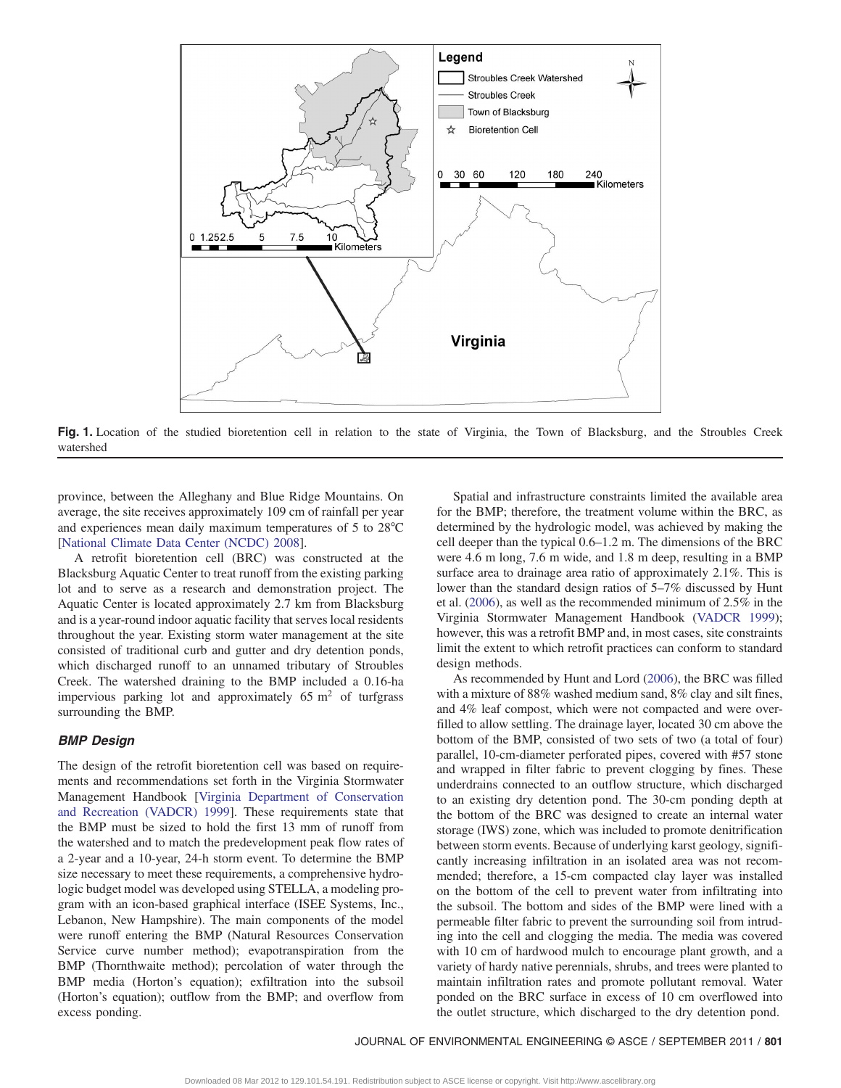<span id="page-1-0"></span>

Fig. 1. Location of the studied bioretention cell in relation to the state of Virginia, the Town of Blacksburg, and the Stroubles Creek watershed

province, between the Alleghany and Blue Ridge Mountains. On average, the site receives approximately 109 cm of rainfall per year and experiences mean daily maximum temperatures of 5 to 28°C [\[National Climate Data Center \(NCDC\) 2008](#page-8-12)].

A retrofit bioretention cell (BRC) was constructed at the Blacksburg Aquatic Center to treat runoff from the existing parking lot and to serve as a research and demonstration project. The Aquatic Center is located approximately 2.7 km from Blacksburg and is a year-round indoor aquatic facility that serves local residents throughout the year. Existing storm water management at the site consisted of traditional curb and gutter and dry detention ponds, which discharged runoff to an unnamed tributary of Stroubles Creek. The watershed draining to the BMP included a 0.16-ha impervious parking lot and approximately  $65 \text{ m}^2$  of turfgrass surrounding the BMP.

## BMP Design

The design of the retrofit bioretention cell was based on requirements and recommendations set forth in the Virginia Stormwater Management Handbook [[Virginia Department of Conservation](#page-8-13) [and Recreation \(VADCR\) 1999](#page-8-13)]. These requirements state that the BMP must be sized to hold the first 13 mm of runoff from the watershed and to match the predevelopment peak flow rates of a 2-year and a 10-year, 24-h storm event. To determine the BMP size necessary to meet these requirements, a comprehensive hydrologic budget model was developed using STELLA, a modeling program with an icon-based graphical interface (ISEE Systems, Inc., Lebanon, New Hampshire). The main components of the model were runoff entering the BMP (Natural Resources Conservation Service curve number method); evapotranspiration from the BMP (Thornthwaite method); percolation of water through the BMP media (Horton's equation); exfiltration into the subsoil (Horton's equation); outflow from the BMP; and overflow from excess ponding.

Spatial and infrastructure constraints limited the available area for the BMP; therefore, the treatment volume within the BRC, as determined by the hydrologic model, was achieved by making the cell deeper than the typical 0.6–1.2 m. The dimensions of the BRC were 4.6 m long, 7.6 m wide, and 1.8 m deep, resulting in a BMP surface area to drainage area ratio of approximately 2.1%. This is lower than the standard design ratios of 5–7% discussed by Hunt et al. ([2006\)](#page-8-9), as well as the recommended minimum of 2.5% in the Virginia Stormwater Management Handbook ([VADCR 1999](#page-8-13)); however, this was a retrofit BMP and, in most cases, site constraints limit the extent to which retrofit practices can conform to standard design methods.

As recommended by Hunt and Lord [\(2006](#page-8-14)), the BRC was filled with a mixture of 88% washed medium sand, 8% clay and silt fines, and 4% leaf compost, which were not compacted and were overfilled to allow settling. The drainage layer, located 30 cm above the bottom of the BMP, consisted of two sets of two (a total of four) parallel, 10-cm-diameter perforated pipes, covered with #57 stone and wrapped in filter fabric to prevent clogging by fines. These underdrains connected to an outflow structure, which discharged to an existing dry detention pond. The 30-cm ponding depth at the bottom of the BRC was designed to create an internal water storage (IWS) zone, which was included to promote denitrification between storm events. Because of underlying karst geology, significantly increasing infiltration in an isolated area was not recommended; therefore, a 15-cm compacted clay layer was installed on the bottom of the cell to prevent water from infiltrating into the subsoil. The bottom and sides of the BMP were lined with a permeable filter fabric to prevent the surrounding soil from intruding into the cell and clogging the media. The media was covered with 10 cm of hardwood mulch to encourage plant growth, and a variety of hardy native perennials, shrubs, and trees were planted to maintain infiltration rates and promote pollutant removal. Water ponded on the BRC surface in excess of 10 cm overflowed into the outlet structure, which discharged to the dry detention pond.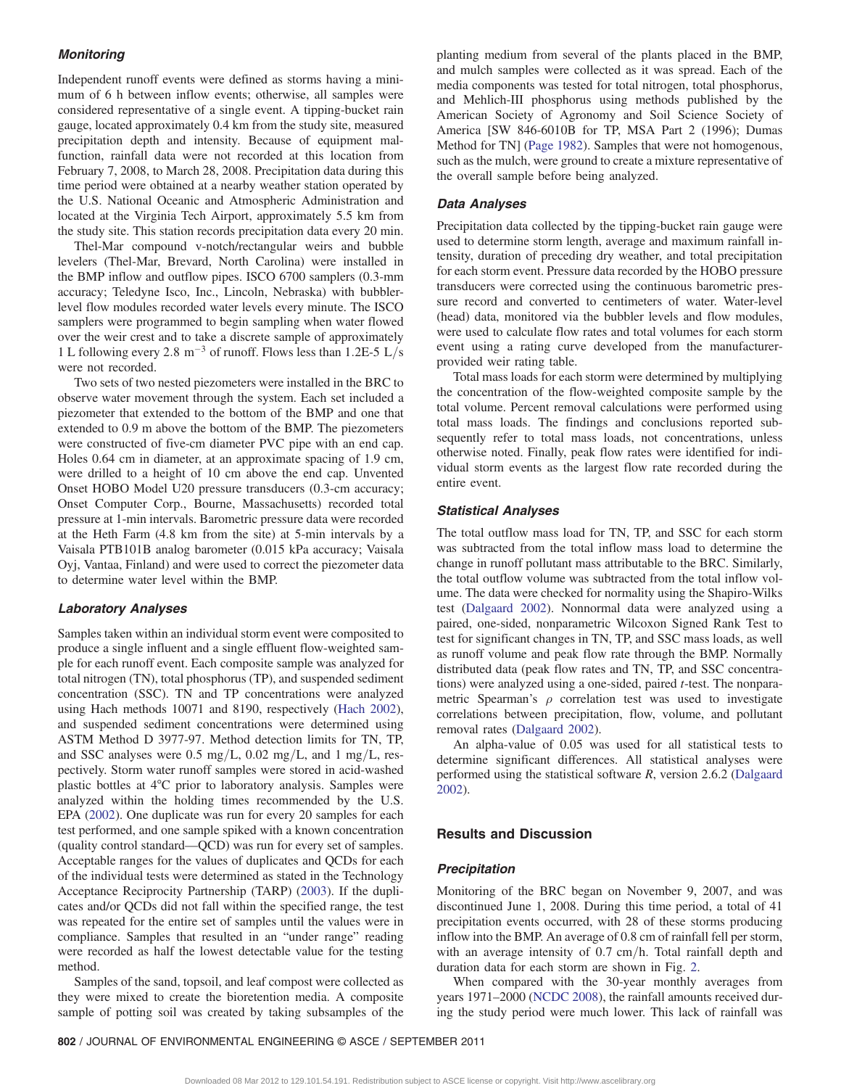## **Monitoring**

Independent runoff events were defined as storms having a minimum of 6 h between inflow events; otherwise, all samples were considered representative of a single event. A tipping-bucket rain gauge, located approximately 0.4 km from the study site, measured precipitation depth and intensity. Because of equipment malfunction, rainfall data were not recorded at this location from February 7, 2008, to March 28, 2008. Precipitation data during this time period were obtained at a nearby weather station operated by the U.S. National Oceanic and Atmospheric Administration and located at the Virginia Tech Airport, approximately 5.5 km from the study site. This station records precipitation data every 20 min.

Thel-Mar compound v-notch/rectangular weirs and bubble levelers (Thel-Mar, Brevard, North Carolina) were installed in the BMP inflow and outflow pipes. ISCO 6700 samplers (0.3-mm accuracy; Teledyne Isco, Inc., Lincoln, Nebraska) with bubblerlevel flow modules recorded water levels every minute. The ISCO samplers were programmed to begin sampling when water flowed over the weir crest and to take a discrete sample of approximately 1 L following every 2.8 m<sup>-3</sup> of runoff. Flows less than 1.2E-5 L/s were not recorded.

Two sets of two nested piezometers were installed in the BRC to observe water movement through the system. Each set included a piezometer that extended to the bottom of the BMP and one that extended to 0.9 m above the bottom of the BMP. The piezometers were constructed of five-cm diameter PVC pipe with an end cap. Holes 0.64 cm in diameter, at an approximate spacing of 1.9 cm, were drilled to a height of 10 cm above the end cap. Unvented Onset HOBO Model U20 pressure transducers (0.3-cm accuracy; Onset Computer Corp., Bourne, Massachusetts) recorded total pressure at 1-min intervals. Barometric pressure data were recorded at the Heth Farm (4.8 km from the site) at 5-min intervals by a Vaisala PTB101B analog barometer (0.015 kPa accuracy; Vaisala Oyj, Vantaa, Finland) and were used to correct the piezometer data to determine water level within the BMP.

## Laboratory Analyses

Samples taken within an individual storm event were composited to produce a single influent and a single effluent flow-weighted sample for each runoff event. Each composite sample was analyzed for total nitrogen (TN), total phosphorus (TP), and suspended sediment concentration (SSC). TN and TP concentrations were analyzed using Hach methods 10071 and 8190, respectively [\(Hach 2002\)](#page-8-15), and suspended sediment concentrations were determined using ASTM Method D 3977-97. Method detection limits for TN, TP, and SSC analyses were 0.5 mg/L, 0.02 mg/L, and 1 mg/L, respectively. Storm water runoff samples were stored in acid-washed plastic bottles at 4°C prior to laboratory analysis. Samples were analyzed within the holding times recommended by the U.S. EPA ([2002\)](#page-8-16). One duplicate was run for every 20 samples for each test performed, and one sample spiked with a known concentration (quality control standard—QCD) was run for every set of samples. Acceptable ranges for the values of duplicates and QCDs for each of the individual tests were determined as stated in the Technology Acceptance Reciprocity Partnership (TARP) [\(2003](#page-8-17)). If the duplicates and/or QCDs did not fall within the specified range, the test was repeated for the entire set of samples until the values were in compliance. Samples that resulted in an "under range" reading were recorded as half the lowest detectable value for the testing method.

Samples of the sand, topsoil, and leaf compost were collected as they were mixed to create the bioretention media. A composite sample of potting soil was created by taking subsamples of the planting medium from several of the plants placed in the BMP, and mulch samples were collected as it was spread. Each of the media components was tested for total nitrogen, total phosphorus, and Mehlich-III phosphorus using methods published by the American Society of Agronomy and Soil Science Society of America [SW 846-6010B for TP, MSA Part 2 (1996); Dumas Method for TN] ([Page 1982\)](#page-8-18). Samples that were not homogenous, such as the mulch, were ground to create a mixture representative of the overall sample before being analyzed.

## Data Analyses

Precipitation data collected by the tipping-bucket rain gauge were used to determine storm length, average and maximum rainfall intensity, duration of preceding dry weather, and total precipitation for each storm event. Pressure data recorded by the HOBO pressure transducers were corrected using the continuous barometric pressure record and converted to centimeters of water. Water-level (head) data, monitored via the bubbler levels and flow modules, were used to calculate flow rates and total volumes for each storm event using a rating curve developed from the manufacturerprovided weir rating table.

Total mass loads for each storm were determined by multiplying the concentration of the flow-weighted composite sample by the total volume. Percent removal calculations were performed using total mass loads. The findings and conclusions reported subsequently refer to total mass loads, not concentrations, unless otherwise noted. Finally, peak flow rates were identified for individual storm events as the largest flow rate recorded during the entire event.

## Statistical Analyses

The total outflow mass load for TN, TP, and SSC for each storm was subtracted from the total inflow mass load to determine the change in runoff pollutant mass attributable to the BRC. Similarly, the total outflow volume was subtracted from the total inflow volume. The data were checked for normality using the Shapiro-Wilks test [\(Dalgaard 2002](#page-8-19)). Nonnormal data were analyzed using a paired, one-sided, nonparametric Wilcoxon Signed Rank Test to test for significant changes in TN, TP, and SSC mass loads, as well as runoff volume and peak flow rate through the BMP. Normally distributed data (peak flow rates and TN, TP, and SSC concentrations) were analyzed using a one-sided, paired t-test. The nonparametric Spearman's  $\rho$  correlation test was used to investigate correlations between precipitation, flow, volume, and pollutant removal rates ([Dalgaard 2002\)](#page-8-19).

An alpha-value of 0.05 was used for all statistical tests to determine significant differences. All statistical analyses were performed using the statistical software R, version 2.6.2 ([Dalgaard](#page-8-19) [2002](#page-8-19)).

#### Results and Discussion

#### Precipitation

Monitoring of the BRC began on November 9, 2007, and was discontinued June 1, 2008. During this time period, a total of 41 precipitation events occurred, with 28 of these storms producing inflow into the BMP. An average of 0.8 cm of rainfall fell per storm, with an average intensity of  $0.7 \text{ cm/h}$ . Total rainfall depth and duration data for each storm are shown in Fig. [2.](#page-3-0)

When compared with the 30-year monthly averages from years 1971–2000 [\(NCDC 2008\)](#page-8-12), the rainfall amounts received during the study period were much lower. This lack of rainfall was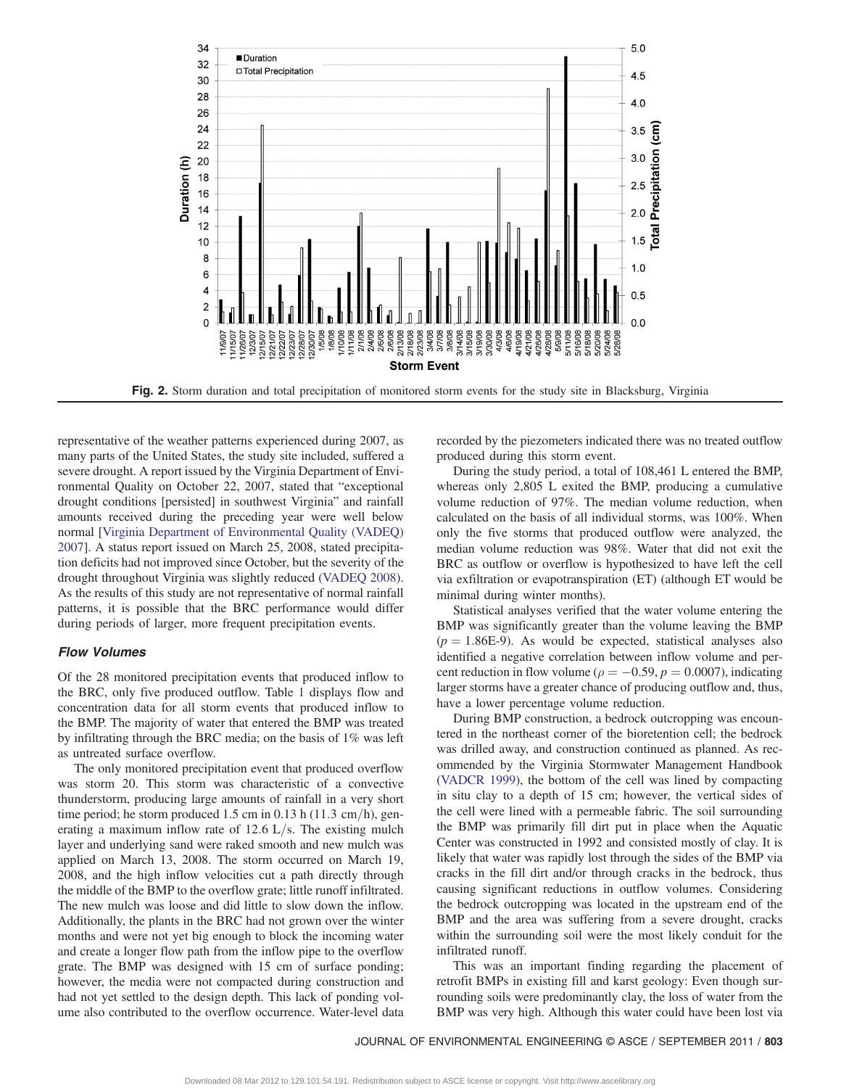<span id="page-3-0"></span>

Fig. 2. Storm duration and total precipitation of monitored storm events for the study site in Blacksburg, Virginia

representative of the weather patterns experienced during 2007, as many parts of the United States, the study site included, suffered a severe drought. A report issued by the Virginia Department of Environmental Quality on October 22, 2007, stated that "exceptional drought conditions [persisted] in southwest Virginia" and rainfall amounts received during the preceding year were well below normal [[Virginia Department of Environmental Quality \(VADEQ\)](#page-8-20) [2007](#page-8-20)]. A status report issued on March 25, 2008, stated precipitation deficits had not improved since October, but the severity of the drought throughout Virginia was slightly reduced [\(VADEQ 2008\)](#page-8-21). As the results of this study are not representative of normal rainfall patterns, it is possible that the BRC performance would differ during periods of larger, more frequent precipitation events.

#### Flow Volumes

Of the 28 monitored precipitation events that produced inflow to the BRC, only five produced outflow. Table [1](#page-4-0) displays flow and concentration data for all storm events that produced inflow to the BMP. The majority of water that entered the BMP was treated by infiltrating through the BRC media; on the basis of 1% was left as untreated surface overflow.

The only monitored precipitation event that produced overflow was storm 20. This storm was characteristic of a convective thunderstorm, producing large amounts of rainfall in a very short time period; he storm produced  $1.5$  cm in 0.13 h (11.3 cm/h), generating a maximum inflow rate of 12.6 L/s. The existing mulch layer and underlying sand were raked smooth and new mulch was applied on March 13, 2008. The storm occurred on March 19, 2008, and the high inflow velocities cut a path directly through the middle of the BMP to the overflow grate; little runoff infiltrated. The new mulch was loose and did little to slow down the inflow. Additionally, the plants in the BRC had not grown over the winter months and were not yet big enough to block the incoming water and create a longer flow path from the inflow pipe to the overflow grate. The BMP was designed with 15 cm of surface ponding; however, the media were not compacted during construction and had not yet settled to the design depth. This lack of ponding volume also contributed to the overflow occurrence. Water-level data

recorded by the piezometers indicated there was no treated outflow produced during this storm event.

During the study period, a total of 108,461 L entered the BMP, whereas only 2,805 L exited the BMP, producing a cumulative volume reduction of 97%. The median volume reduction, when calculated on the basis of all individual storms, was 100%. When only the five storms that produced outflow were analyzed, the median volume reduction was 98%. Water that did not exit the BRC as outflow or overflow is hypothesized to have left the cell via exfiltration or evapotranspiration (ET) (although ET would be minimal during winter months).

Statistical analyses verified that the water volume entering the BMP was significantly greater than the volume leaving the BMP  $(p = 1.86E-9)$ . As would be expected, statistical analyses also identified a negative correlation between inflow volume and percent reduction in flow volume ( $\rho = -0.59$ ,  $p = 0.0007$ ), indicating larger storms have a greater chance of producing outflow and, thus, have a lower percentage volume reduction.

During BMP construction, a bedrock outcropping was encountered in the northeast corner of the bioretention cell; the bedrock was drilled away, and construction continued as planned. As recommended by the Virginia Stormwater Management Handbook [\(VADCR 1999\)](#page-8-13), the bottom of the cell was lined by compacting in situ clay to a depth of 15 cm; however, the vertical sides of the cell were lined with a permeable fabric. The soil surrounding the BMP was primarily fill dirt put in place when the Aquatic Center was constructed in 1992 and consisted mostly of clay. It is likely that water was rapidly lost through the sides of the BMP via cracks in the fill dirt and/or through cracks in the bedrock, thus causing significant reductions in outflow volumes. Considering the bedrock outcropping was located in the upstream end of the BMP and the area was suffering from a severe drought, cracks within the surrounding soil were the most likely conduit for the infiltrated runoff.

This was an important finding regarding the placement of retrofit BMPs in existing fill and karst geology: Even though surrounding soils were predominantly clay, the loss of water from the BMP was very high. Although this water could have been lost via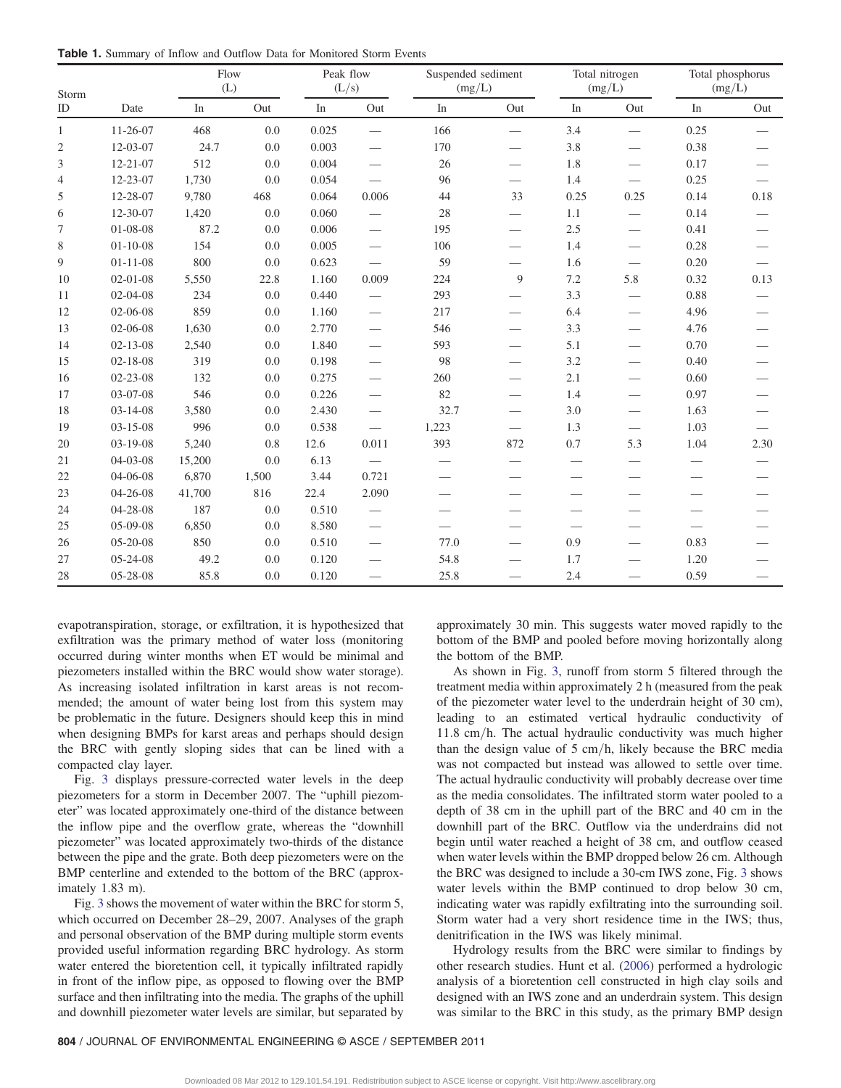<span id="page-4-0"></span>Table 1. Summary of Inflow and Outflow Data for Monitored Storm Events

| Storm          |                | Flow<br>(L) |         | Peak flow<br>(L/s) |                          | Suspended sediment<br>(mg/L)      |                          | Total nitrogen<br>(mg/L) |                                  | Total phosphorus<br>(mg/L)      |      |
|----------------|----------------|-------------|---------|--------------------|--------------------------|-----------------------------------|--------------------------|--------------------------|----------------------------------|---------------------------------|------|
| ID             | Date           | In          | Out     | In                 | Out                      | In                                | Out                      | In                       | Out                              | In                              | Out  |
| 1              | 11-26-07       | 468         | 0.0     | 0.025              |                          | 166                               |                          | 3.4                      |                                  | 0.25                            |      |
| $\mathfrak{2}$ | 12-03-07       | 24.7        | 0.0     | 0.003              | $\overline{\phantom{0}}$ | 170                               | $\overline{\phantom{0}}$ | 3.8                      |                                  | 0.38                            |      |
| 3              | $12 - 21 - 07$ | 512         | 0.0     | 0.004              | $\overline{\phantom{0}}$ | 26                                |                          | 1.8                      |                                  | 0.17                            |      |
| $\overline{4}$ | 12-23-07       | 1,730       | 0.0     | 0.054              | $\qquad \qquad$          | 96                                | $\overline{\phantom{0}}$ | 1.4                      |                                  | 0.25                            |      |
| 5              | 12-28-07       | 9,780       | 468     | 0.064              | 0.006                    | 44                                | 33                       | 0.25                     | 0.25                             | 0.14                            | 0.18 |
| 6              | 12-30-07       | 1,420       | 0.0     | 0.060              |                          | 28                                | $\overline{\phantom{0}}$ | 1.1                      |                                  | 0.14                            |      |
| 7              | 01-08-08       | 87.2        | 0.0     | 0.006              |                          | 195                               | $\overline{\phantom{0}}$ | 2.5                      |                                  | 0.41                            |      |
| 8              | $01 - 10 - 08$ | 154         | 0.0     | 0.005              |                          | 106                               | $\overline{\phantom{0}}$ | 1.4                      |                                  | 0.28                            |      |
| 9              | $01 - 11 - 08$ | 800         | 0.0     | 0.623              |                          | 59                                | $\overline{\phantom{0}}$ | 1.6                      |                                  | 0.20                            |      |
| 10             | $02 - 01 - 08$ | 5,550       | 22.8    | 1.160              | 0.009                    | 224                               | 9                        | $7.2\,$                  | 5.8                              | 0.32                            | 0.13 |
| 11             | 02-04-08       | 234         | $0.0\,$ | 0.440              |                          | 293                               |                          | 3.3                      |                                  | 0.88                            |      |
| 12             | 02-06-08       | 859         | 0.0     | 1.160              |                          | 217                               | $\overline{\phantom{0}}$ | 6.4                      |                                  | 4.96                            |      |
| 13             | 02-06-08       | 1,630       | 0.0     | 2.770              |                          | 546                               |                          | 3.3                      |                                  | 4.76                            |      |
| 14             | $02 - 13 - 08$ | 2,540       | 0.0     | 1.840              |                          | 593                               | $\overline{\phantom{0}}$ | 5.1                      |                                  | 0.70                            |      |
| 15             | $02 - 18 - 08$ | 319         | $0.0\,$ | 0.198              |                          | 98                                | $\overline{\phantom{0}}$ | 3.2                      | $\overline{\phantom{0}}$         | 0.40                            |      |
| 16             | $02 - 23 - 08$ | 132         | 0.0     | 0.275              | $\overline{\phantom{0}}$ | 260                               | $\overline{\phantom{0}}$ | 2.1                      |                                  | 0.60                            |      |
| 17             | 03-07-08       | 546         | 0.0     | 0.226              |                          | 82                                | $\overline{\phantom{0}}$ | 1.4                      | $\overline{\phantom{0}}$         | 0.97                            |      |
| 18             | $03 - 14 - 08$ | 3,580       | 0.0     | 2.430              |                          | 32.7                              |                          | 3.0                      |                                  | 1.63                            |      |
| 19             | $03 - 15 - 08$ | 996         | 0.0     | 0.538              | $\overline{\phantom{0}}$ | 1,223                             |                          | 1.3                      | $\overbrace{\phantom{12322111}}$ | 1.03                            |      |
| 20             | 03-19-08       | 5,240       | 0.8     | 12.6               | 0.011                    | 393                               | 872                      | 0.7                      | 5.3                              | 1.04                            | 2.30 |
| 21             | $04 - 03 - 08$ | 15,200      | 0.0     | 6.13               |                          |                                   |                          |                          | $\overline{\phantom{0}}$         |                                 |      |
| 22             | 04-06-08       | 6,870       | 1,500   | 3.44               | 0.721                    |                                   | $\overline{\phantom{0}}$ |                          |                                  | $\hspace{0.1mm}-\hspace{0.1mm}$ |      |
| 23             | $04 - 26 - 08$ | 41,700      | 816     | 22.4               | 2.090                    |                                   | —                        |                          |                                  |                                 |      |
| 24             | 04-28-08       | 187         | 0.0     | 0.510              |                          | $\overbrace{\phantom{123221111}}$ | $\overline{\phantom{0}}$ |                          |                                  |                                 |      |
| 25             | 05-09-08       | 6,850       | 0.0     | 8.580              |                          |                                   |                          |                          | —                                | $\hspace{0.1mm}-\hspace{0.1mm}$ |      |
| 26             | 05-20-08       | 850         | 0.0     | 0.510              | $\overline{\phantom{0}}$ | 77.0                              | $\overline{\phantom{0}}$ | 0.9                      |                                  | 0.83                            |      |
| 27             | $05 - 24 - 08$ | 49.2        | 0.0     | 0.120              |                          | 54.8                              |                          | 1.7                      |                                  | 1.20                            |      |
| 28             | 05-28-08       | 85.8        | 0.0     | 0.120              |                          | 25.8                              | $\overline{\phantom{0}}$ | 2.4                      |                                  | 0.59                            |      |

evapotranspiration, storage, or exfiltration, it is hypothesized that exfiltration was the primary method of water loss (monitoring occurred during winter months when ET would be minimal and piezometers installed within the BRC would show water storage). As increasing isolated infiltration in karst areas is not recommended; the amount of water being lost from this system may be problematic in the future. Designers should keep this in mind when designing BMPs for karst areas and perhaps should design the BRC with gently sloping sides that can be lined with a compacted clay layer.

Fig. [3](#page-5-0) displays pressure-corrected water levels in the deep piezometers for a storm in December 2007. The "uphill piezometer" was located approximately one-third of the distance between the inflow pipe and the overflow grate, whereas the "downhill piezometer" was located approximately two-thirds of the distance between the pipe and the grate. Both deep piezometers were on the BMP centerline and extended to the bottom of the BRC (approximately 1.83 m).

Fig. [3](#page-5-0) shows the movement of water within the BRC for storm 5, which occurred on December 28–29, 2007. Analyses of the graph and personal observation of the BMP during multiple storm events provided useful information regarding BRC hydrology. As storm water entered the bioretention cell, it typically infiltrated rapidly in front of the inflow pipe, as opposed to flowing over the BMP surface and then infiltrating into the media. The graphs of the uphill and downhill piezometer water levels are similar, but separated by approximately 30 min. This suggests water moved rapidly to the bottom of the BMP and pooled before moving horizontally along the bottom of the BMP.

As shown in Fig. [3,](#page-5-0) runoff from storm 5 filtered through the treatment media within approximately 2 h (measured from the peak of the piezometer water level to the underdrain height of 30 cm), leading to an estimated vertical hydraulic conductivity of  $11.8 \text{ cm/h}$ . The actual hydraulic conductivity was much higher than the design value of  $5 \text{ cm/h}$ , likely because the BRC media was not compacted but instead was allowed to settle over time. The actual hydraulic conductivity will probably decrease over time as the media consolidates. The infiltrated storm water pooled to a depth of 38 cm in the uphill part of the BRC and 40 cm in the downhill part of the BRC. Outflow via the underdrains did not begin until water reached a height of 38 cm, and outflow ceased when water levels within the BMP dropped below 26 cm. Although the BRC was designed to include a 30-cm IWS zone, Fig. [3](#page-5-0) shows water levels within the BMP continued to drop below 30 cm, indicating water was rapidly exfiltrating into the surrounding soil. Storm water had a very short residence time in the IWS; thus, denitrification in the IWS was likely minimal.

Hydrology results from the BRC were similar to findings by other research studies. Hunt et al. [\(2006](#page-8-9)) performed a hydrologic analysis of a bioretention cell constructed in high clay soils and designed with an IWS zone and an underdrain system. This design was similar to the BRC in this study, as the primary BMP design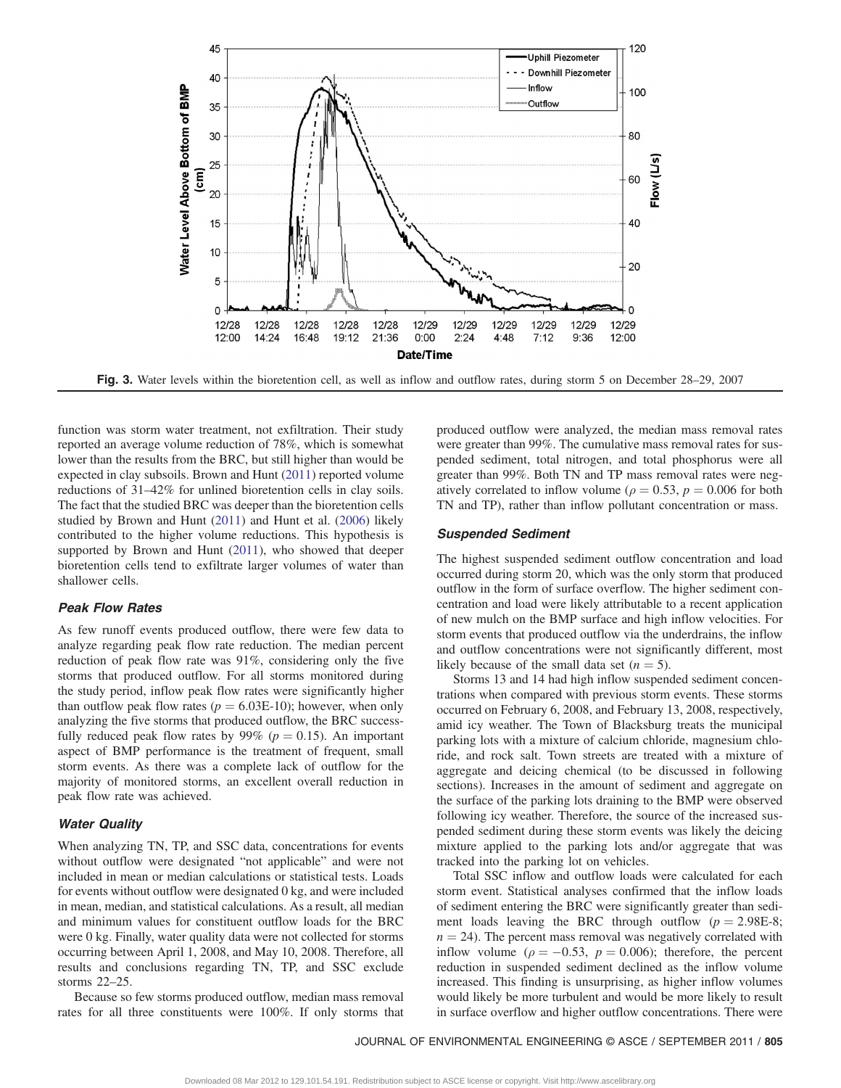<span id="page-5-0"></span>

Fig. 3. Water levels within the bioretention cell, as well as inflow and outflow rates, during storm 5 on December 28–29, 2007

function was storm water treatment, not exfiltration. Their study reported an average volume reduction of 78%, which is somewhat lower than the results from the BRC, but still higher than would be expected in clay subsoils. Brown and Hunt ([2011\)](#page-8-22) reported volume reductions of 31–42% for unlined bioretention cells in clay soils. The fact that the studied BRC was deeper than the bioretention cells studied by Brown and Hunt ([2011\)](#page-8-22) and Hunt et al. [\(2006](#page-8-9)) likely contributed to the higher volume reductions. This hypothesis is supported by Brown and Hunt ([2011\)](#page-8-22), who showed that deeper bioretention cells tend to exfiltrate larger volumes of water than shallower cells.

#### Peak Flow Rates

As few runoff events produced outflow, there were few data to analyze regarding peak flow rate reduction. The median percent reduction of peak flow rate was 91%, considering only the five storms that produced outflow. For all storms monitored during the study period, inflow peak flow rates were significantly higher than outflow peak flow rates ( $p = 6.03E-10$ ); however, when only analyzing the five storms that produced outflow, the BRC successfully reduced peak flow rates by 99% ( $p = 0.15$ ). An important aspect of BMP performance is the treatment of frequent, small storm events. As there was a complete lack of outflow for the majority of monitored storms, an excellent overall reduction in peak flow rate was achieved.

## Water Quality

When analyzing TN, TP, and SSC data, concentrations for events without outflow were designated "not applicable" and were not included in mean or median calculations or statistical tests. Loads for events without outflow were designated 0 kg, and were included in mean, median, and statistical calculations. As a result, all median and minimum values for constituent outflow loads for the BRC were 0 kg. Finally, water quality data were not collected for storms occurring between April 1, 2008, and May 10, 2008. Therefore, all results and conclusions regarding TN, TP, and SSC exclude storms 22–25.

Because so few storms produced outflow, median mass removal rates for all three constituents were 100%. If only storms that

produced outflow were analyzed, the median mass removal rates were greater than 99%. The cumulative mass removal rates for suspended sediment, total nitrogen, and total phosphorus were all greater than 99%. Both TN and TP mass removal rates were negatively correlated to inflow volume ( $\rho = 0.53$ ,  $p = 0.006$  for both TN and TP), rather than inflow pollutant concentration or mass.

#### Suspended Sediment

The highest suspended sediment outflow concentration and load occurred during storm 20, which was the only storm that produced outflow in the form of surface overflow. The higher sediment concentration and load were likely attributable to a recent application of new mulch on the BMP surface and high inflow velocities. For storm events that produced outflow via the underdrains, the inflow and outflow concentrations were not significantly different, most likely because of the small data set  $(n = 5)$ .

Storms 13 and 14 had high inflow suspended sediment concentrations when compared with previous storm events. These storms occurred on February 6, 2008, and February 13, 2008, respectively, amid icy weather. The Town of Blacksburg treats the municipal parking lots with a mixture of calcium chloride, magnesium chloride, and rock salt. Town streets are treated with a mixture of aggregate and deicing chemical (to be discussed in following sections). Increases in the amount of sediment and aggregate on the surface of the parking lots draining to the BMP were observed following icy weather. Therefore, the source of the increased suspended sediment during these storm events was likely the deicing mixture applied to the parking lots and/or aggregate that was tracked into the parking lot on vehicles.

Total SSC inflow and outflow loads were calculated for each storm event. Statistical analyses confirmed that the inflow loads of sediment entering the BRC were significantly greater than sediment loads leaving the BRC through outflow  $(p = 2.98E-8;$  $n = 24$ ). The percent mass removal was negatively correlated with inflow volume ( $\rho = -0.53$ ,  $p = 0.006$ ); therefore, the percent reduction in suspended sediment declined as the inflow volume increased. This finding is unsurprising, as higher inflow volumes would likely be more turbulent and would be more likely to result in surface overflow and higher outflow concentrations. There were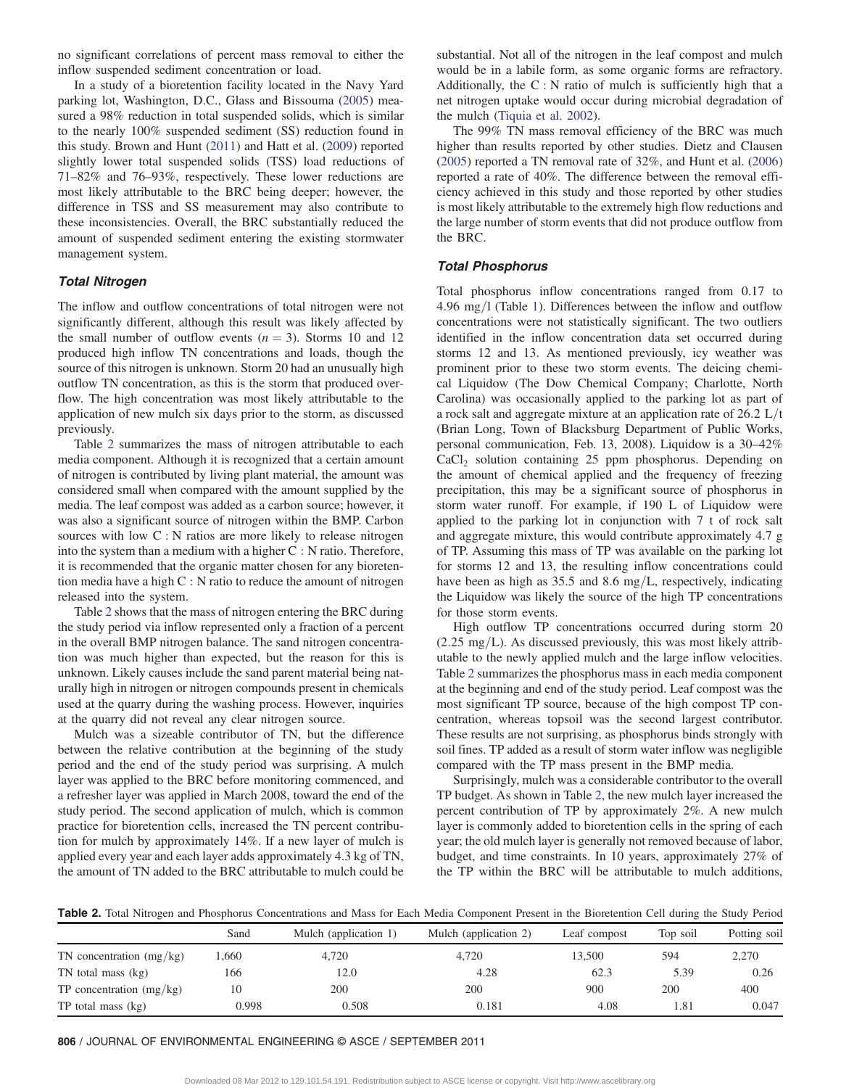no significant correlations of percent mass removal to either the inflow suspended sediment concentration or load.

In a study of a bioretention facility located in the Navy Yard parking lot, Washington, D.C., Glass and Bissouma ([2005\)](#page-8-6) measured a 98% reduction in total suspended solids, which is similar to the nearly 100% suspended sediment (SS) reduction found in this study. Brown and Hunt [\(2011](#page-8-22)) and Hatt et al. ([2009\)](#page-8-23) reported slightly lower total suspended solids (TSS) load reductions of 71–82% and 76–93%, respectively. These lower reductions are most likely attributable to the BRC being deeper; however, the difference in TSS and SS measurement may also contribute to these inconsistencies. Overall, the BRC substantially reduced the amount of suspended sediment entering the existing stormwater management system.

## Total Nitrogen

The inflow and outflow concentrations of total nitrogen were not significantly different, although this result was likely affected by the small number of outflow events  $(n = 3)$ . Storms 10 and 12 produced high inflow TN concentrations and loads, though the source of this nitrogen is unknown. Storm 20 had an unusually high outflow TN concentration, as this is the storm that produced overflow. The high concentration was most likely attributable to the application of new mulch six days prior to the storm, as discussed previously.

Table [2](#page-6-0) summarizes the mass of nitrogen attributable to each media component. Although it is recognized that a certain amount of nitrogen is contributed by living plant material, the amount was considered small when compared with the amount supplied by the media. The leaf compost was added as a carbon source; however, it was also a significant source of nitrogen within the BMP. Carbon sources with low C : N ratios are more likely to release nitrogen into the system than a medium with a higher C : N ratio. Therefore, it is recommended that the organic matter chosen for any bioretention media have a high C : N ratio to reduce the amount of nitrogen released into the system.

Table [2](#page-6-0) shows that the mass of nitrogen entering the BRC during the study period via inflow represented only a fraction of a percent in the overall BMP nitrogen balance. The sand nitrogen concentration was much higher than expected, but the reason for this is unknown. Likely causes include the sand parent material being naturally high in nitrogen or nitrogen compounds present in chemicals used at the quarry during the washing process. However, inquiries at the quarry did not reveal any clear nitrogen source.

Mulch was a sizeable contributor of TN, but the difference between the relative contribution at the beginning of the study period and the end of the study period was surprising. A mulch layer was applied to the BRC before monitoring commenced, and a refresher layer was applied in March 2008, toward the end of the study period. The second application of mulch, which is common practice for bioretention cells, increased the TN percent contribution for mulch by approximately 14%. If a new layer of mulch is applied every year and each layer adds approximately 4.3 kg of TN, the amount of TN added to the BRC attributable to mulch could be

substantial. Not all of the nitrogen in the leaf compost and mulch would be in a labile form, as some organic forms are refractory. Additionally, the  $C : N$  ratio of mulch is sufficiently high that a net nitrogen uptake would occur during microbial degradation of the mulch ([Tiquia et al. 2002\)](#page-8-24).

The 99% TN mass removal efficiency of the BRC was much higher than results reported by other studies. Dietz and Clausen [\(2005](#page-8-7)) reported a TN removal rate of 32%, and Hunt et al. ([2006\)](#page-8-9) reported a rate of 40%. The difference between the removal efficiency achieved in this study and those reported by other studies is most likely attributable to the extremely high flow reductions and the large number of storm events that did not produce outflow from the BRC.

#### Total Phosphorus

Total phosphorus inflow concentrations ranged from 0.17 to  $4.96 \text{ mg/l}$  (Table [1](#page-4-0)). Differences between the inflow and outflow concentrations were not statistically significant. The two outliers identified in the inflow concentration data set occurred during storms 12 and 13. As mentioned previously, icy weather was prominent prior to these two storm events. The deicing chemical Liquidow (The Dow Chemical Company; Charlotte, North Carolina) was occasionally applied to the parking lot as part of a rock salt and aggregate mixture at an application rate of  $26.2$  L/t (Brian Long, Town of Blacksburg Department of Public Works, personal communication, Feb. 13, 2008). Liquidow is a 30–42%  $CaCl<sub>2</sub>$  solution containing 25 ppm phosphorus. Depending on the amount of chemical applied and the frequency of freezing precipitation, this may be a significant source of phosphorus in storm water runoff. For example, if 190 L of Liquidow were applied to the parking lot in conjunction with 7 t of rock salt and aggregate mixture, this would contribute approximately 4.7 g of TP. Assuming this mass of TP was available on the parking lot for storms 12 and 13, the resulting inflow concentrations could have been as high as  $35.5$  and  $8.6$  mg/L, respectively, indicating the Liquidow was likely the source of the high TP concentrations for those storm events.

High outflow TP concentrations occurred during storm 20  $(2.25 \text{ mg/L})$ . As discussed previously, this was most likely attributable to the newly applied mulch and the large inflow velocities. Table [2](#page-6-0) summarizes the phosphorus mass in each media component at the beginning and end of the study period. Leaf compost was the most significant TP source, because of the high compost TP concentration, whereas topsoil was the second largest contributor. These results are not surprising, as phosphorus binds strongly with soil fines. TP added as a result of storm water inflow was negligible compared with the TP mass present in the BMP media.

Surprisingly, mulch was a considerable contributor to the overall TP budget. As shown in Table [2](#page-6-0), the new mulch layer increased the percent contribution of TP by approximately 2%. A new mulch layer is commonly added to bioretention cells in the spring of each year; the old mulch layer is generally not removed because of labor, budget, and time constraints. In 10 years, approximately 27% of the TP within the BRC will be attributable to mulch additions,

<span id="page-6-0"></span>Table 2. Total Nitrogen and Phosphorus Concentrations and Mass for Each Media Component Present in the Bioretention Cell during the Study Period

|                            | Sand  | Mulch (application 1) | Mulch (application 2) | Leaf compost | Top soil | Potting soil |
|----------------------------|-------|-----------------------|-----------------------|--------------|----------|--------------|
| TN concentration $(mg/kg)$ | .660  | 4.720                 | 4.720                 | 13.500       | 594      | 2,270        |
| TN total mass (kg)         | 166   | 12.0                  | 4.28                  | 62.3         | 5.39     | 0.26         |
| TP concentration $(mg/kg)$ | 10    | 200                   | 200                   | 900          | 200      | 400          |
| $TP$ total mass $(kg)$     | 0.998 | 0.508                 | 0.181                 | 4.08         | 1.81     | 0.047        |

## 806 / JOURNAL OF ENVIRONMENTAL ENGINEERING © ASCE / SEPTEMBER 2011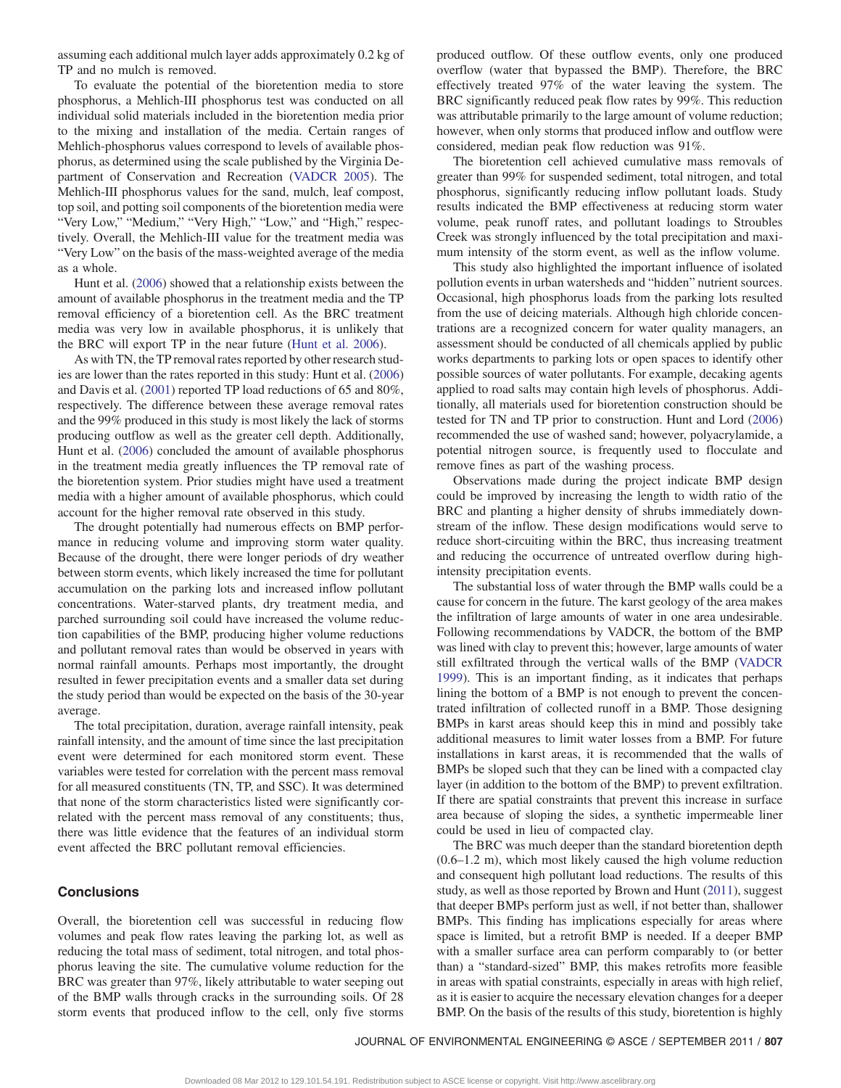assuming each additional mulch layer adds approximately 0.2 kg of TP and no mulch is removed.

To evaluate the potential of the bioretention media to store phosphorus, a Mehlich-III phosphorus test was conducted on all individual solid materials included in the bioretention media prior to the mixing and installation of the media. Certain ranges of Mehlich-phosphorus values correspond to levels of available phosphorus, as determined using the scale published by the Virginia Department of Conservation and Recreation ([VADCR 2005](#page-8-25)). The Mehlich-III phosphorus values for the sand, mulch, leaf compost, top soil, and potting soil components of the bioretention media were "Very Low," "Medium," "Very High," "Low," and "High," respectively. Overall, the Mehlich-III value for the treatment media was "Very Low" on the basis of the mass-weighted average of the media as a whole.

Hunt et al. [\(2006](#page-8-9)) showed that a relationship exists between the amount of available phosphorus in the treatment media and the TP removal efficiency of a bioretention cell. As the BRC treatment media was very low in available phosphorus, it is unlikely that the BRC will export TP in the near future [\(Hunt et al. 2006](#page-8-9)).

As with TN, the TP removal rates reported by other research studies are lower than the rates reported in this study: Hunt et al. ([2006\)](#page-8-9) and Davis et al. ([2001](#page-8-4)) reported TP load reductions of 65 and 80%, respectively. The difference between these average removal rates and the 99% produced in this study is most likely the lack of storms producing outflow as well as the greater cell depth. Additionally, Hunt et al. [\(2006](#page-8-9)) concluded the amount of available phosphorus in the treatment media greatly influences the TP removal rate of the bioretention system. Prior studies might have used a treatment media with a higher amount of available phosphorus, which could account for the higher removal rate observed in this study.

The drought potentially had numerous effects on BMP performance in reducing volume and improving storm water quality. Because of the drought, there were longer periods of dry weather between storm events, which likely increased the time for pollutant accumulation on the parking lots and increased inflow pollutant concentrations. Water-starved plants, dry treatment media, and parched surrounding soil could have increased the volume reduction capabilities of the BMP, producing higher volume reductions and pollutant removal rates than would be observed in years with normal rainfall amounts. Perhaps most importantly, the drought resulted in fewer precipitation events and a smaller data set during the study period than would be expected on the basis of the 30-year average.

The total precipitation, duration, average rainfall intensity, peak rainfall intensity, and the amount of time since the last precipitation event were determined for each monitored storm event. These variables were tested for correlation with the percent mass removal for all measured constituents (TN, TP, and SSC). It was determined that none of the storm characteristics listed were significantly correlated with the percent mass removal of any constituents; thus, there was little evidence that the features of an individual storm event affected the BRC pollutant removal efficiencies.

# **Conclusions**

Overall, the bioretention cell was successful in reducing flow volumes and peak flow rates leaving the parking lot, as well as reducing the total mass of sediment, total nitrogen, and total phosphorus leaving the site. The cumulative volume reduction for the BRC was greater than 97%, likely attributable to water seeping out of the BMP walls through cracks in the surrounding soils. Of 28 storm events that produced inflow to the cell, only five storms produced outflow. Of these outflow events, only one produced overflow (water that bypassed the BMP). Therefore, the BRC effectively treated 97% of the water leaving the system. The BRC significantly reduced peak flow rates by 99%. This reduction was attributable primarily to the large amount of volume reduction; however, when only storms that produced inflow and outflow were considered, median peak flow reduction was 91%.

The bioretention cell achieved cumulative mass removals of greater than 99% for suspended sediment, total nitrogen, and total phosphorus, significantly reducing inflow pollutant loads. Study results indicated the BMP effectiveness at reducing storm water volume, peak runoff rates, and pollutant loadings to Stroubles Creek was strongly influenced by the total precipitation and maximum intensity of the storm event, as well as the inflow volume.

This study also highlighted the important influence of isolated pollution events in urban watersheds and "hidden" nutrient sources. Occasional, high phosphorus loads from the parking lots resulted from the use of deicing materials. Although high chloride concentrations are a recognized concern for water quality managers, an assessment should be conducted of all chemicals applied by public works departments to parking lots or open spaces to identify other possible sources of water pollutants. For example, decaking agents applied to road salts may contain high levels of phosphorus. Additionally, all materials used for bioretention construction should be tested for TN and TP prior to construction. Hunt and Lord ([2006\)](#page-8-14) recommended the use of washed sand; however, polyacrylamide, a potential nitrogen source, is frequently used to flocculate and remove fines as part of the washing process.

Observations made during the project indicate BMP design could be improved by increasing the length to width ratio of the BRC and planting a higher density of shrubs immediately downstream of the inflow. These design modifications would serve to reduce short-circuiting within the BRC, thus increasing treatment and reducing the occurrence of untreated overflow during highintensity precipitation events.

The substantial loss of water through the BMP walls could be a cause for concern in the future. The karst geology of the area makes the infiltration of large amounts of water in one area undesirable. Following recommendations by VADCR, the bottom of the BMP was lined with clay to prevent this; however, large amounts of water still exfiltrated through the vertical walls of the BMP [\(VADCR](#page-8-13) [1999](#page-8-13)). This is an important finding, as it indicates that perhaps lining the bottom of a BMP is not enough to prevent the concentrated infiltration of collected runoff in a BMP. Those designing BMPs in karst areas should keep this in mind and possibly take additional measures to limit water losses from a BMP. For future installations in karst areas, it is recommended that the walls of BMPs be sloped such that they can be lined with a compacted clay layer (in addition to the bottom of the BMP) to prevent exfiltration. If there are spatial constraints that prevent this increase in surface area because of sloping the sides, a synthetic impermeable liner could be used in lieu of compacted clay.

The BRC was much deeper than the standard bioretention depth (0.6–1.2 m), which most likely caused the high volume reduction and consequent high pollutant load reductions. The results of this study, as well as those reported by Brown and Hunt [\(2011](#page-8-22)), suggest that deeper BMPs perform just as well, if not better than, shallower BMPs. This finding has implications especially for areas where space is limited, but a retrofit BMP is needed. If a deeper BMP with a smaller surface area can perform comparably to (or better than) a "standard-sized" BMP, this makes retrofits more feasible in areas with spatial constraints, especially in areas with high relief, as it is easier to acquire the necessary elevation changes for a deeper BMP. On the basis of the results of this study, bioretention is highly